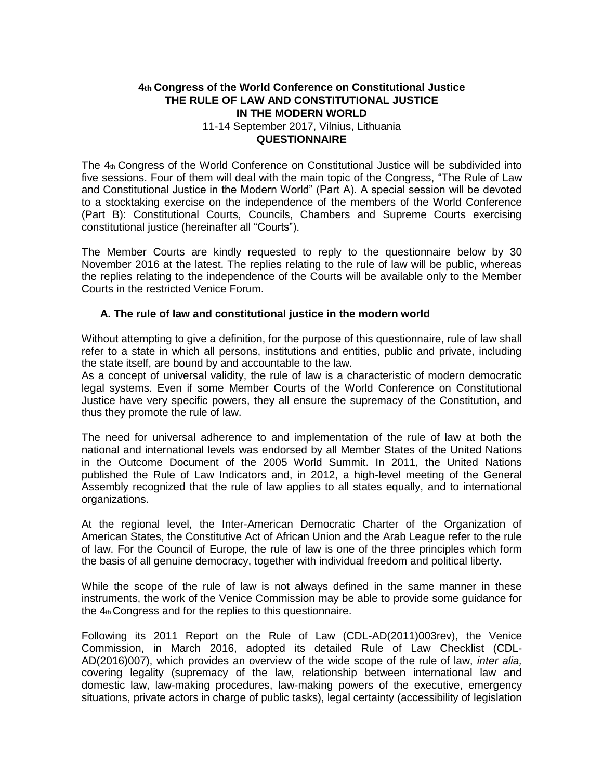# **4th Congress of the World Conference on Constitutional Justice THE RULE OF LAW AND CONSTITUTIONAL JUSTICE IN THE MODERN WORLD** 11-14 September 2017, Vilnius, Lithuania

### **QUESTIONNAIRE**

The 4th Congress of the World Conference on Constitutional Justice will be subdivided into five sessions. Four of them will deal with the main topic of the Congress, "The Rule of Law and Constitutional Justice in the Modern World" (Part A). A special session will be devoted to a stocktaking exercise on the independence of the members of the World Conference (Part B): Constitutional Courts, Councils, Chambers and Supreme Courts exercising constitutional justice (hereinafter all "Courts").

The Member Courts are kindly requested to reply to the questionnaire below by 30 November 2016 at the latest. The replies relating to the rule of law will be public, whereas the replies relating to the independence of the Courts will be available only to the Member Courts in the restricted Venice Forum.

## **A. The rule of law and constitutional justice in the modern world**

Without attempting to give a definition, for the purpose of this questionnaire, rule of law shall refer to a state in which all persons, institutions and entities, public and private, including the state itself, are bound by and accountable to the law.

As a concept of universal validity, the rule of law is a characteristic of modern democratic legal systems. Even if some Member Courts of the World Conference on Constitutional Justice have very specific powers, they all ensure the supremacy of the Constitution, and thus they promote the rule of law.

The need for universal adherence to and implementation of the rule of law at both the national and international levels was endorsed by all Member States of the United Nations in the Outcome Document of the 2005 World Summit. In 2011, the United Nations published the Rule of Law Indicators and, in 2012, a high-level meeting of the General Assembly recognized that the rule of law applies to all states equally, and to international organizations.

At the regional level, the Inter-American Democratic Charter of the Organization of American States, the Constitutive Act of African Union and the Arab League refer to the rule of law. For the Council of Europe, the rule of law is one of the three principles which form the basis of all genuine democracy, together with individual freedom and political liberty.

While the scope of the rule of law is not always defined in the same manner in these instruments, the work of the Venice Commission may be able to provide some guidance for the  $4<sub>th</sub>$  Congress and for the replies to this questionnaire.

Following its 2011 Report on the Rule of Law (CDL-AD(2011)003rev), the Venice Commission, in March 2016, adopted its detailed Rule of Law Checklist (CDL-AD(2016)007), which provides an overview of the wide scope of the rule of law, *inter alia,*  covering legality (supremacy of the law, relationship between international law and domestic law, law-making procedures, law-making powers of the executive, emergency situations, private actors in charge of public tasks), legal certainty (accessibility of legislation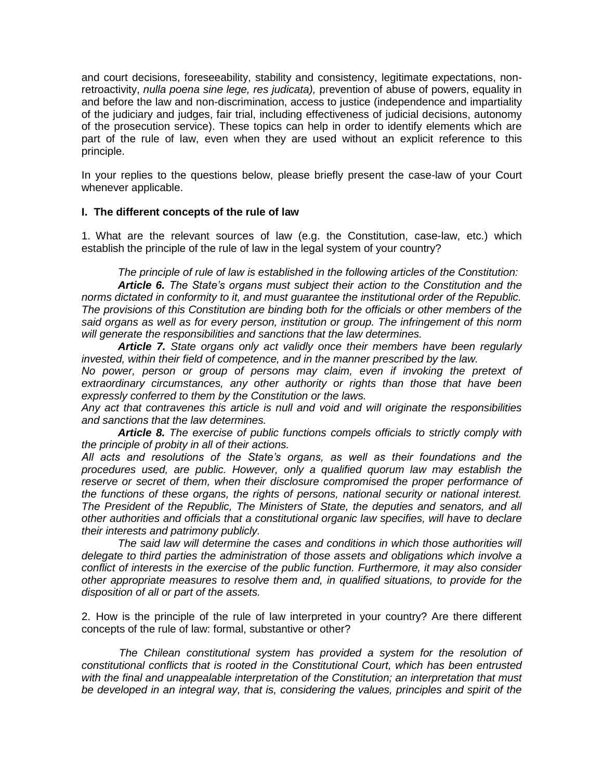and court decisions, foreseeability, stability and consistency, legitimate expectations, nonretroactivity, *nulla poena sine lege, res judicata),* prevention of abuse of powers, equality in and before the law and non-discrimination, access to justice (independence and impartiality of the judiciary and judges, fair trial, including effectiveness of judicial decisions, autonomy of the prosecution service). These topics can help in order to identify elements which are part of the rule of law, even when they are used without an explicit reference to this principle.

In your replies to the questions below, please briefly present the case-law of your Court whenever applicable.

### **I. The different concepts of the rule of law**

1. What are the relevant sources of law (e.g. the Constitution, case-law, etc.) which establish the principle of the rule of law in the legal system of your country?

*The principle of rule of law is established in the following articles of the Constitution: Article 6. The State's organs must subject their action to the Constitution and the norms dictated in conformity to it, and must guarantee the institutional order of the Republic. The provisions of this Constitution are binding both for the officials or other members of the said organs as well as for every person, institution or group. The infringement of this norm will generate the responsibilities and sanctions that the law determines.*

*Article 7. State organs only act validly once their members have been regularly invested, within their field of competence, and in the manner prescribed by the law.*

*No power, person or group of persons may claim, even if invoking the pretext of extraordinary circumstances, any other authority or rights than those that have been expressly conferred to them by the Constitution or the laws.*

*Any act that contravenes this article is null and void and will originate the responsibilities and sanctions that the law determines.*

*Article 8. The exercise of public functions compels officials to strictly comply with the principle of probity in all of their actions.*

*All acts and resolutions of the State's organs, as well as their foundations and the procedures used, are public. However, only a qualified quorum law may establish the*  reserve or secret of them, when their disclosure compromised the proper performance of *the functions of these organs, the rights of persons, national security or national interest. The President of the Republic, The Ministers of State, the deputies and senators, and all other authorities and officials that a constitutional organic law specifies, will have to declare their interests and patrimony publicly.*

*The said law will determine the cases and conditions in which those authorities will delegate to third parties the administration of those assets and obligations which involve a conflict of interests in the exercise of the public function. Furthermore, it may also consider other appropriate measures to resolve them and, in qualified situations, to provide for the disposition of all or part of the assets.*

2. How is the principle of the rule of law interpreted in your country? Are there different concepts of the rule of law: formal, substantive or other?

*The Chilean constitutional system has provided a system for the resolution of constitutional conflicts that is rooted in the Constitutional Court, which has been entrusted with the final and unappealable interpretation of the Constitution; an interpretation that must be developed in an integral way, that is, considering the values, principles and spirit of the*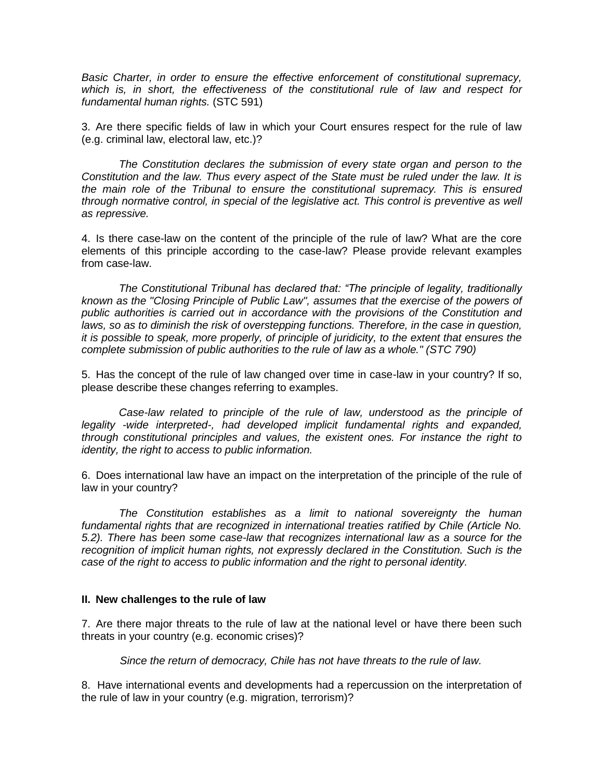*Basic Charter, in order to ensure the effective enforcement of constitutional supremacy, which is, in short, the effectiveness of the constitutional rule of law and respect for fundamental human rights.* (STC 591)

3. Are there specific fields of law in which your Court ensures respect for the rule of law (e.g. criminal law, electoral law, etc.)?

*The Constitution declares the submission of every state organ and person to the Constitution and the law. Thus every aspect of the State must be ruled under the law. It is the main role of the Tribunal to ensure the constitutional supremacy. This is ensured through normative control, in special of the legislative act. This control is preventive as well as repressive.*

4. Is there case-law on the content of the principle of the rule of law? What are the core elements of this principle according to the case-law? Please provide relevant examples from case-law.

*The Constitutional Tribunal has declared that: "The principle of legality, traditionally known as the "Closing Principle of Public Law", assumes that the exercise of the powers of public authorities is carried out in accordance with the provisions of the Constitution and laws, so as to diminish the risk of overstepping functions. Therefore, in the case in question, it is possible to speak, more properly, of principle of juridicity, to the extent that ensures the complete submission of public authorities to the rule of law as a whole." (STC 790)*

5. Has the concept of the rule of law changed over time in case-law in your country? If so, please describe these changes referring to examples.

Case-law related to principle of the rule of law, understood as the principle of *legality -wide interpreted-, had developed implicit fundamental rights and expanded, through constitutional principles and values, the existent ones. For instance the right to identity, the right to access to public information.*

6. Does international law have an impact on the interpretation of the principle of the rule of law in your country?

*The Constitution establishes as a limit to national sovereignty the human*  fundamental rights that are recognized in international treaties ratified by Chile (Article No. *5.2). There has been some case-law that recognizes international law as a source for the*  recognition of implicit human rights, not expressly declared in the Constitution. Such is the *case of the right to access to public information and the right to personal identity.*

# **II. New challenges to the rule of law**

7. Are there major threats to the rule of law at the national level or have there been such threats in your country (e.g. economic crises)?

*Since the return of democracy, Chile has not have threats to the rule of law.*

8. Have international events and developments had a repercussion on the interpretation of the rule of law in your country (e.g. migration, terrorism)?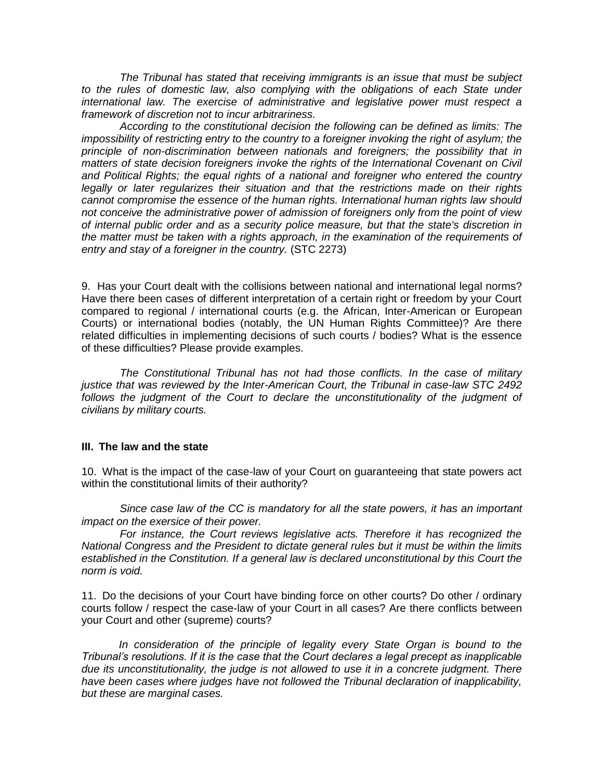*The Tribunal has stated that receiving immigrants is an issue that must be subject*  to the rules of domestic law, also complying with the obligations of each State under *international law. The exercise of administrative and legislative power must respect a framework of discretion not to incur arbitrariness.*

*According to the constitutional decision the following can be defined as limits: The impossibility of restricting entry to the country to a foreigner invoking the right of asylum; the principle of non-discrimination between nationals and foreigners; the possibility that in matters of state decision foreigners invoke the rights of the International Covenant on Civil and Political Rights; the equal rights of a national and foreigner who entered the country*  legally or later regularizes their situation and that the restrictions made on their rights *cannot compromise the essence of the human rights. International human rights law should not conceive the administrative power of admission of foreigners only from the point of view of internal public order and as a security police measure, but that the state's discretion in the matter must be taken with a rights approach, in the examination of the requirements of entry and stay of a foreigner in the country.* (STC 2273)

9. Has your Court dealt with the collisions between national and international legal norms? Have there been cases of different interpretation of a certain right or freedom by your Court compared to regional / international courts (e.g. the African, Inter-American or European Courts) or international bodies (notably, the UN Human Rights Committee)? Are there related difficulties in implementing decisions of such courts / bodies? What is the essence of these difficulties? Please provide examples.

*The Constitutional Tribunal has not had those conflicts. In the case of military justice that was reviewed by the Inter-American Court, the Tribunal in case-law STC 2492*  follows the judgment of the Court to declare the unconstitutionality of the judgment of *civilians by military courts.*

### **III. The law and the state**

10. What is the impact of the case-law of your Court on guaranteeing that state powers act within the constitutional limits of their authority?

*Since case law of the CC is mandatory for all the state powers, it has an important impact on the exersice of their power.*

For instance, the Court reviews legislative acts. Therefore it has recognized the *National Congress and the President to dictate general rules but it must be within the limits*  established in the Constitution. If a general law is declared unconstitutional by this Court the *norm is void.*

11. Do the decisions of your Court have binding force on other courts? Do other / ordinary courts follow / respect the case-law of your Court in all cases? Are there conflicts between your Court and other (supreme) courts?

*In consideration of the principle of legality every State Organ is bound to the Tribunal's resolutions. If it is the case that the Court declares a legal precept as inapplicable due its unconstitutionality, the judge is not allowed to use it in a concrete judgment. There have been cases where judges have not followed the Tribunal declaration of inapplicability, but these are marginal cases.*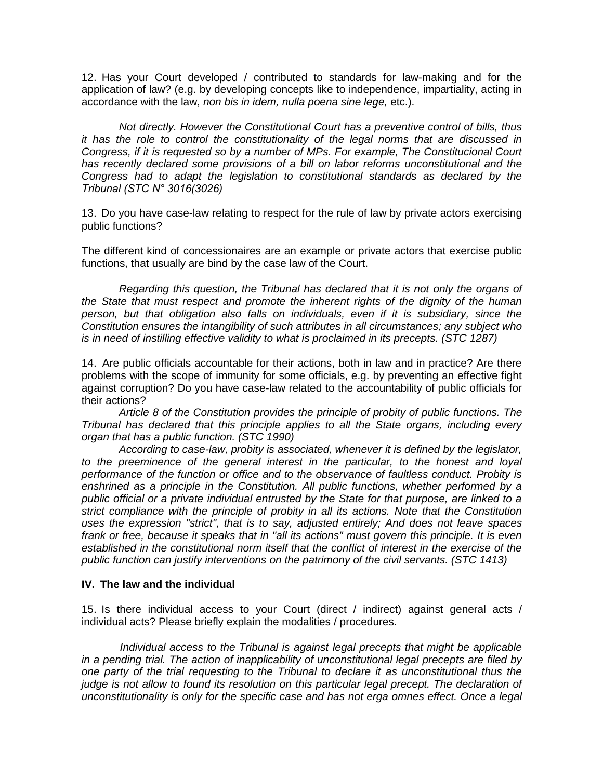12. Has your Court developed / contributed to standards for law-making and for the application of law? (e.g. by developing concepts like to independence, impartiality, acting in accordance with the law, *non bis in idem, nulla poena sine lege,* etc.).

*Not directly. However the Constitutional Court has a preventive control of bills, thus it has the role to control the constitutionality of the legal norms that are discussed in Congress, if it is requested so by a number of MPs. For example, The Constitucional Court has recently declared some provisions of a bill on labor reforms unconstitutional and the Congress had to adapt the legislation to constitutional standards as declared by the Tribunal (STC N° 3016(3026)*

13. Do you have case-law relating to respect for the rule of law by private actors exercising public functions?

The different kind of concessionaires are an example or private actors that exercise public functions, that usually are bind by the case law of the Court.

*Regarding this question, the Tribunal has declared that it is not only the organs of the State that must respect and promote the inherent rights of the dignity of the human person, but that obligation also falls on individuals, even if it is subsidiary, since the Constitution ensures the intangibility of such attributes in all circumstances; any subject who is in need of instilling effective validity to what is proclaimed in its precepts. (STC 1287)*

14. Are public officials accountable for their actions, both in law and in practice? Are there problems with the scope of immunity for some officials, e.g. by preventing an effective fight against corruption? Do you have case-law related to the accountability of public officials for their actions?

*Article 8 of the Constitution provides the principle of probity of public functions. The Tribunal has declared that this principle applies to all the State organs, including every organ that has a public function. (STC 1990)*

*According to case-law, probity is associated, whenever it is defined by the legislator,*  to the preeminence of the general interest in the particular, to the honest and loyal *performance of the function or office and to the observance of faultless conduct. Probity is enshrined as a principle in the Constitution. All public functions, whether performed by a public official or a private individual entrusted by the State for that purpose, are linked to a strict compliance with the principle of probity in all its actions. Note that the Constitution uses the expression "strict", that is to say, adjusted entirely; And does not leave spaces*  frank or free, because it speaks that in "all its actions" must govern this principle. It is even established in the constitutional norm itself that the conflict of interest in the exercise of the *public function can justify interventions on the patrimony of the civil servants. (STC 1413)*

## **IV. The law and the individual**

15. Is there individual access to your Court (direct / indirect) against general acts / individual acts? Please briefly explain the modalities / procedures.

*Individual access to the Tribunal is against legal precepts that might be applicable in a pending trial. The action of inapplicability of unconstitutional legal precepts are filed by one party of the trial requesting to the Tribunal to declare it as unconstitutional thus the judge is not allow to found its resolution on this particular legal precept. The declaration of unconstitutionality is only for the specific case and has not erga omnes effect. Once a legal*